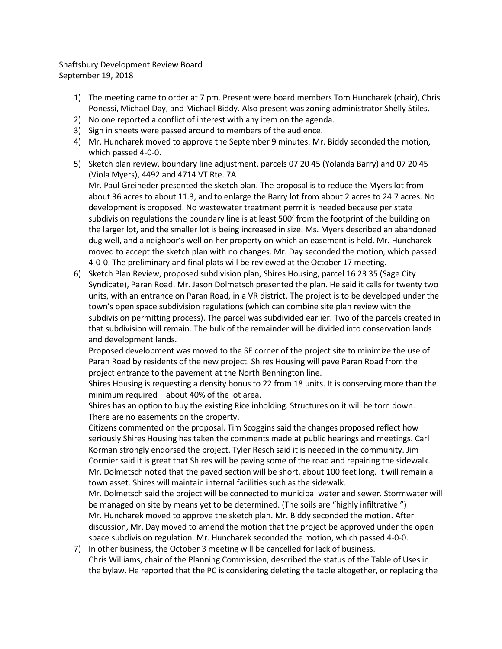Shaftsbury Development Review Board September 19, 2018

- 1) The meeting came to order at 7 pm. Present were board members Tom Huncharek (chair), Chris Ponessi, Michael Day, and Michael Biddy. Also present was zoning administrator Shelly Stiles.
- 2) No one reported a conflict of interest with any item on the agenda.
- 3) Sign in sheets were passed around to members of the audience.
- 4) Mr. Huncharek moved to approve the September 9 minutes. Mr. Biddy seconded the motion, which passed 4-0-0.
- 5) Sketch plan review, boundary line adjustment, parcels 07 20 45 (Yolanda Barry) and 07 20 45 (Viola Myers), 4492 and 4714 VT Rte. 7A

Mr. Paul Greineder presented the sketch plan. The proposal is to reduce the Myers lot from about 36 acres to about 11.3, and to enlarge the Barry lot from about 2 acres to 24.7 acres. No development is proposed. No wastewater treatment permit is needed because per state subdivision regulations the boundary line is at least 500' from the footprint of the building on the larger lot, and the smaller lot is being increased in size. Ms. Myers described an abandoned dug well, and a neighbor's well on her property on which an easement is held. Mr. Huncharek moved to accept the sketch plan with no changes. Mr. Day seconded the motion, which passed 4-0-0. The preliminary and final plats will be reviewed at the October 17 meeting.

6) Sketch Plan Review, proposed subdivision plan, Shires Housing, parcel 16 23 35 (Sage City Syndicate), Paran Road. Mr. Jason Dolmetsch presented the plan. He said it calls for twenty two units, with an entrance on Paran Road, in a VR district. The project is to be developed under the town's open space subdivision regulations (which can combine site plan review with the subdivision permitting process). The parcel was subdivided earlier. Two of the parcels created in that subdivision will remain. The bulk of the remainder will be divided into conservation lands and development lands.

Proposed development was moved to the SE corner of the project site to minimize the use of Paran Road by residents of the new project. Shires Housing will pave Paran Road from the project entrance to the pavement at the North Bennington line.

Shires Housing is requesting a density bonus to 22 from 18 units. It is conserving more than the minimum required – about 40% of the lot area.

Shires has an option to buy the existing Rice inholding. Structures on it will be torn down. There are no easements on the property.

Citizens commented on the proposal. Tim Scoggins said the changes proposed reflect how seriously Shires Housing has taken the comments made at public hearings and meetings. Carl Korman strongly endorsed the project. Tyler Resch said it is needed in the community. Jim Cormier said it is great that Shires will be paving some of the road and repairing the sidewalk. Mr. Dolmetsch noted that the paved section will be short, about 100 feet long. It will remain a town asset. Shires will maintain internal facilities such as the sidewalk.

Mr. Dolmetsch said the project will be connected to municipal water and sewer. Stormwater will be managed on site by means yet to be determined. (The soils are "highly infiltrative.") Mr. Huncharek moved to approve the sketch plan. Mr. Biddy seconded the motion. After discussion, Mr. Day moved to amend the motion that the project be approved under the open space subdivision regulation. Mr. Huncharek seconded the motion, which passed 4-0-0.

7) In other business, the October 3 meeting will be cancelled for lack of business. Chris Williams, chair of the Planning Commission, described the status of the Table of Uses in the bylaw. He reported that the PC is considering deleting the table altogether, or replacing the